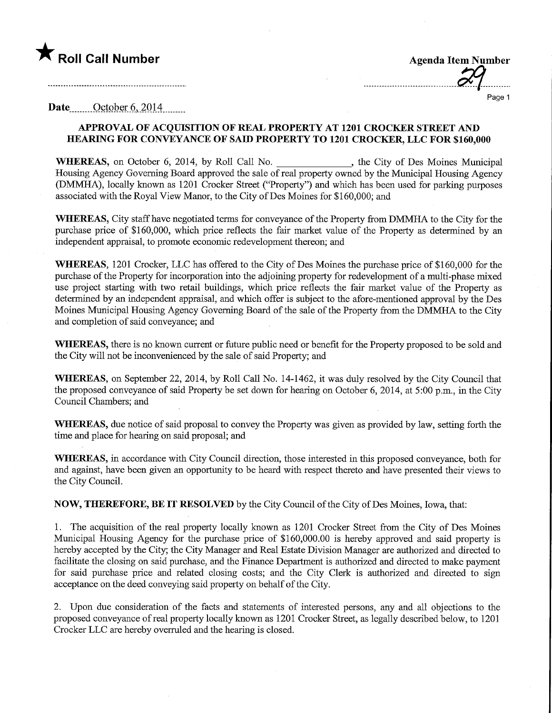## **The Roll Call Number Agents Contained Agents Agents Agents Agents Agents Agents Agents Agents Agents Agents Agents Agents Agents Agents Agents Agents Agents Agents Agents Agents Agents Agents Agents Agents Agents Agents A**

Page 1

Date.......October 6, 2014........

## APPROVAL OF ACQUISITION OF REAL PROPERTY AT 1201 CROCKER STREET AND HEARING FOR CONVEYANCE OF SAD) PROPERTY TO 1201 CROCKER, LLC FOR \$160,000

WHEREAS, on October 6, 2014, by Roll Call No.  $\qquad \qquad$ , the City of Des Moines Municipal Housing Agency Governing Board approved the sale of real property owned by the Municipal Housing Agency (DMMHA), locally known as 1201 Crocker Street ("Property") and which has been used for parking purposes associated with the Royal View Manor, to the City ofDes Moines for \$160,000; and

WHEREAS, City staff have negotiated terms for conveyance of the Property from DMMHA to the City for the purchase price of \$160,000, which price reflects the fair market value of the Property as determined by an independent appraisal, to promote economic redevelopment thereon; and

WHEREAS, 1201 Crocker, LLC has offered to the City of Des Moines the purchase price of \$160,000 for the purchase of the Property for incorporation into the adjoining property for redevelopment of a multi-phase mixed use project starting with two retail buildings, which price reflects the fair market value of the Property as determined by an independent appraisal, and which offer is subject to the afore-mentioned approval by the Des Moines Municipal Housing Agency Governing Board of the sale of the Property from the DMMHA to the City and completion of said conveyance; and

WHEREAS, there is no known current or future public need or benefit for the Property proposed to be sold and the City will not be inconvenienced by the sale of said Property; and

WHEREAS, on September 22, 2014, by Roll Call No. 14-1462, it was duly resolved by the City Council that the proposed conveyance of said Property be set down for hearing on October 6, 2014, at 5:00 p.m., in the City Council Chambers; and

WHEREAS, due notice of said proposal to convey the Property was given as provided by law, setting forth the time and place for hearing on said proposal; and

WHEREAS, in accordance with City Council direction, those interested in this proposed conveyance, both for and against, have been given an opportunity to be heard with respect thereto and have presented their views to the City Council.

NOW, THEREFORE, BE IT RESOLVED by the City Council of the City of Des Moines, Iowa, that:

1. The acquisition of the real property locally known as 1201 Crocker Street from the City of Des Moines Municipal Housing Agency for the purchase price of \$160,000.00 is hereby approved and said property is hereby accepted by the City; the City Manager and Real Estate Division Manager are authorized and directed to facilitate the closing on said purchase, and the Finance Department is authorized and directed to make payment for said purchase price and related closing costs; and the City Clerk is authorized and directed to sign acceptance on the deed conveying said property on behalf of the City.

2. Upon due consideration of the facts and statements of interested persons, any and all objections to the proposed conveyance of real property locally known as 1201 Crocker Street, as legally described below, to 1201 Crocker LLC are hereby overruled and the hearing is closed.